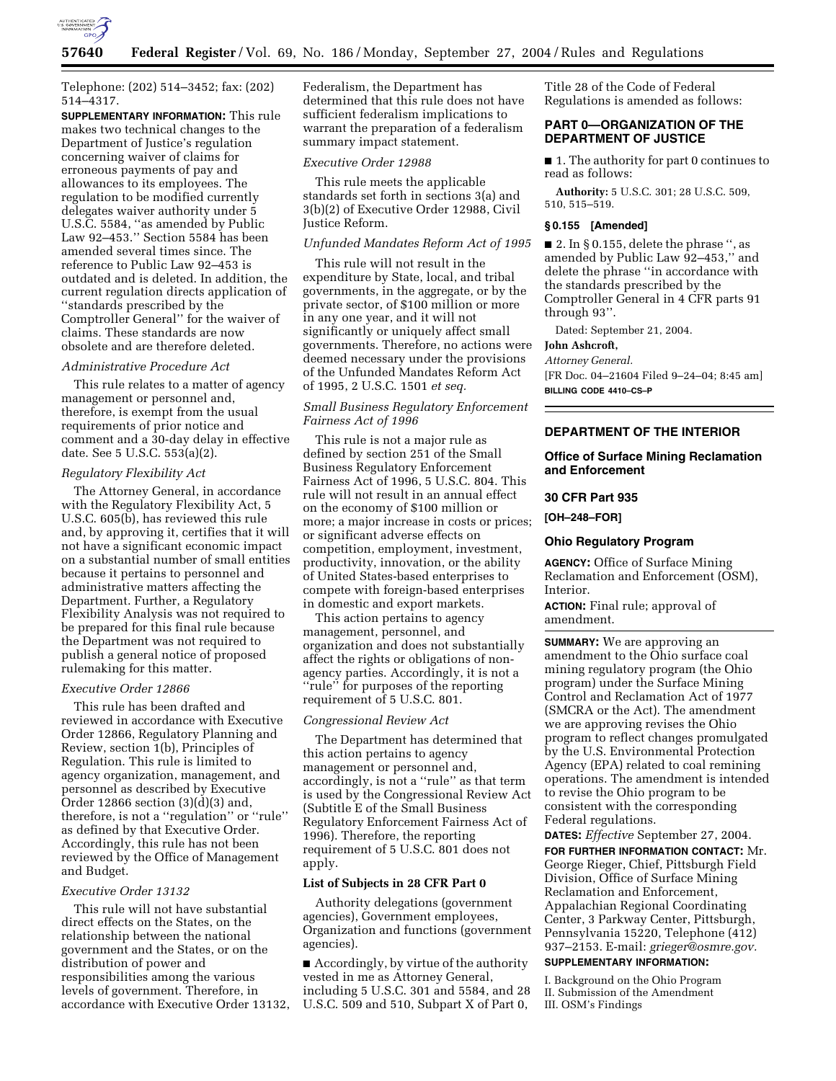

Telephone: (202) 514–3452; fax: (202) 514–4317.

**SUPPLEMENTARY INFORMATION:** This rule makes two technical changes to the Department of Justice's regulation concerning waiver of claims for erroneous payments of pay and allowances to its employees. The regulation to be modified currently delegates waiver authority under 5 U.S.C. 5584, ''as amended by Public Law 92–453.'' Section 5584 has been amended several times since. The reference to Public Law 92–453 is outdated and is deleted. In addition, the current regulation directs application of ''standards prescribed by the Comptroller General'' for the waiver of claims. These standards are now obsolete and are therefore deleted.

# *Administrative Procedure Act*

This rule relates to a matter of agency management or personnel and, therefore, is exempt from the usual requirements of prior notice and comment and a 30-day delay in effective date. See 5 U.S.C. 553(a)(2).

### *Regulatory Flexibility Act*

The Attorney General, in accordance with the Regulatory Flexibility Act, 5 U.S.C. 605(b), has reviewed this rule and, by approving it, certifies that it will not have a significant economic impact on a substantial number of small entities because it pertains to personnel and administrative matters affecting the Department. Further, a Regulatory Flexibility Analysis was not required to be prepared for this final rule because the Department was not required to publish a general notice of proposed rulemaking for this matter.

### *Executive Order 12866*

This rule has been drafted and reviewed in accordance with Executive Order 12866, Regulatory Planning and Review, section 1(b), Principles of Regulation. This rule is limited to agency organization, management, and personnel as described by Executive Order 12866 section (3)(d)(3) and, therefore, is not a ''regulation'' or ''rule'' as defined by that Executive Order. Accordingly, this rule has not been reviewed by the Office of Management and Budget.

#### *Executive Order 13132*

This rule will not have substantial direct effects on the States, on the relationship between the national government and the States, or on the distribution of power and responsibilities among the various levels of government. Therefore, in accordance with Executive Order 13132,

Federalism, the Department has determined that this rule does not have sufficient federalism implications to warrant the preparation of a federalism summary impact statement.

#### *Executive Order 12988*

This rule meets the applicable standards set forth in sections 3(a) and 3(b)(2) of Executive Order 12988, Civil Justice Reform.

# *Unfunded Mandates Reform Act of 1995*

This rule will not result in the expenditure by State, local, and tribal governments, in the aggregate, or by the private sector, of \$100 million or more in any one year, and it will not significantly or uniquely affect small governments. Therefore, no actions were deemed necessary under the provisions of the Unfunded Mandates Reform Act of 1995, 2 U.S.C. 1501 *et seq.*

# *Small Business Regulatory Enforcement Fairness Act of 1996*

This rule is not a major rule as defined by section 251 of the Small Business Regulatory Enforcement Fairness Act of 1996, 5 U.S.C. 804. This rule will not result in an annual effect on the economy of \$100 million or more; a major increase in costs or prices; or significant adverse effects on competition, employment, investment, productivity, innovation, or the ability of United States-based enterprises to compete with foreign-based enterprises in domestic and export markets.

This action pertains to agency management, personnel, and organization and does not substantially affect the rights or obligations of nonagency parties. Accordingly, it is not a "rule" for purposes of the reporting requirement of 5 U.S.C. 801.

### *Congressional Review Act*

The Department has determined that this action pertains to agency management or personnel and, accordingly, is not a ''rule'' as that term is used by the Congressional Review Act (Subtitle E of the Small Business Regulatory Enforcement Fairness Act of 1996). Therefore, the reporting requirement of 5 U.S.C. 801 does not apply.

### **List of Subjects in 28 CFR Part 0**

Authority delegations (government agencies), Government employees, Organization and functions (government agencies).

■ Accordingly, by virtue of the authority vested in me as Attorney General, including 5 U.S.C. 301 and 5584, and 28 U.S.C. 509 and 510, Subpart X of Part 0,

Title 28 of the Code of Federal Regulations is amended as follows:

# **PART 0—ORGANIZATION OF THE DEPARTMENT OF JUSTICE**

■ 1. The authority for part 0 continues to read as follows:

**Authority:** 5 U.S.C. 301; 28 U.S.C. 509, 510, 515–519.

### **§ 0.155 [Amended]**

 $\blacksquare$  2. In § 0.155, delete the phrase ", as amended by Public Law 92–453,'' and delete the phrase ''in accordance with the standards prescribed by the Comptroller General in 4 CFR parts 91 through 93''.

Dated: September 21, 2004.

#### **John Ashcroft,**

*Attorney General.* [FR Doc. 04–21604 Filed 9–24–04; 8:45 am] **BILLING CODE 4410–CS–P**

### **DEPARTMENT OF THE INTERIOR**

# **Office of Surface Mining Reclamation and Enforcement**

# **30 CFR Part 935**

**[OH–248–FOR]** 

# **Ohio Regulatory Program**

**AGENCY:** Office of Surface Mining Reclamation and Enforcement (OSM), Interior.

**ACTION:** Final rule; approval of amendment.

**SUMMARY:** We are approving an amendment to the Ohio surface coal mining regulatory program (the Ohio program) under the Surface Mining Control and Reclamation Act of 1977 (SMCRA or the Act). The amendment we are approving revises the Ohio program to reflect changes promulgated by the U.S. Environmental Protection Agency (EPA) related to coal remining operations. The amendment is intended to revise the Ohio program to be consistent with the corresponding Federal regulations.

**DATES:** *Effective* September 27, 2004. **FOR FURTHER INFORMATION CONTACT:** Mr. George Rieger, Chief, Pittsburgh Field Division, Office of Surface Mining Reclamation and Enforcement, Appalachian Regional Coordinating Center, 3 Parkway Center, Pittsburgh, Pennsylvania 15220, Telephone (412) 937–2153. E-mail: *grieger@osmre.gov.*

# **SUPPLEMENTARY INFORMATION:**

I. Background on the Ohio Program II. Submission of the Amendment III. OSM's Findings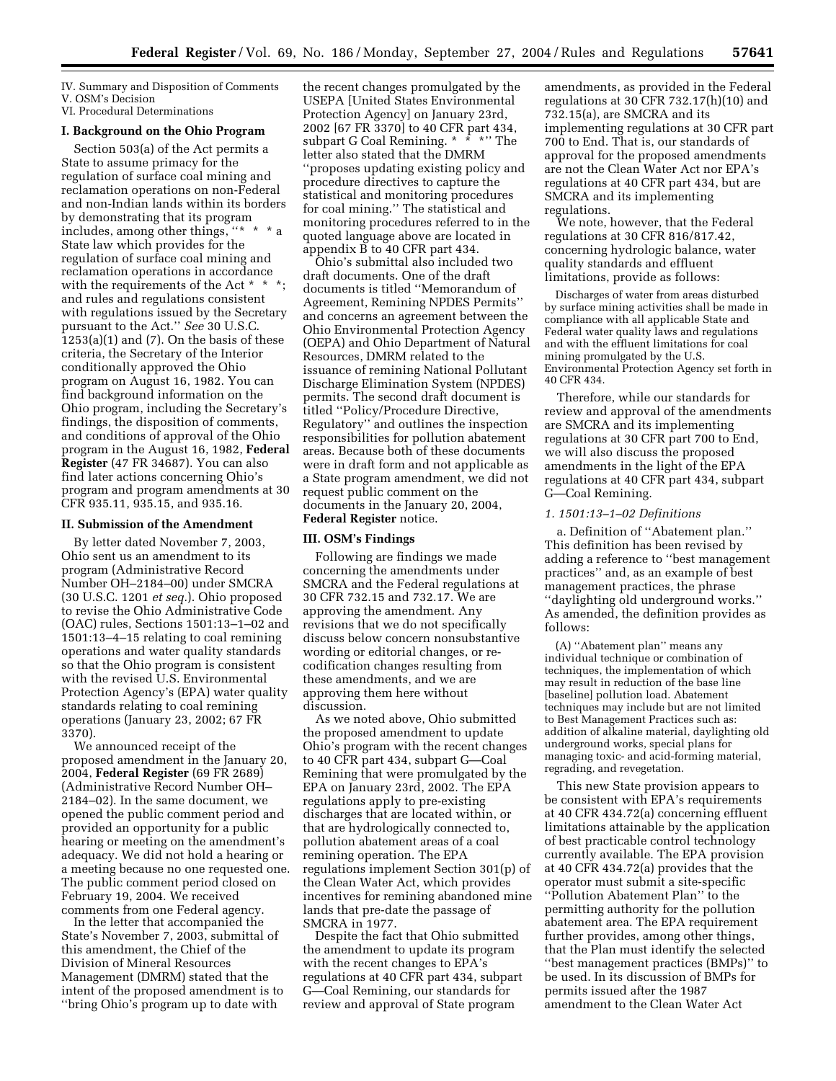IV. Summary and Disposition of Comments V. OSM's Decision

VI. Procedural Determinations

# **I. Background on the Ohio Program**

Section 503(a) of the Act permits a State to assume primacy for the regulation of surface coal mining and reclamation operations on non-Federal and non-Indian lands within its borders by demonstrating that its program includes, among other things, "\* \* State law which provides for the regulation of surface coal mining and reclamation operations in accordance with the requirements of the Act \* \* \*; and rules and regulations consistent with regulations issued by the Secretary pursuant to the Act.'' *See* 30 U.S.C.  $1253(a)(1)$  and  $(7)$ . On the basis of these criteria, the Secretary of the Interior conditionally approved the Ohio program on August 16, 1982. You can find background information on the Ohio program, including the Secretary's findings, the disposition of comments, and conditions of approval of the Ohio program in the August 16, 1982, **Federal Register** (47 FR 34687). You can also find later actions concerning Ohio's program and program amendments at 30 CFR 935.11, 935.15, and 935.16.

### **II. Submission of the Amendment**

By letter dated November 7, 2003, Ohio sent us an amendment to its program (Administrative Record Number OH–2184–00) under SMCRA (30 U.S.C. 1201 *et seq.*). Ohio proposed to revise the Ohio Administrative Code (OAC) rules, Sections 1501:13–1–02 and 1501:13–4–15 relating to coal remining operations and water quality standards so that the Ohio program is consistent with the revised U.S. Environmental Protection Agency's (EPA) water quality standards relating to coal remining operations (January 23, 2002; 67 FR 3370).

We announced receipt of the proposed amendment in the January 20, 2004, **Federal Register** (69 FR 2689) (Administrative Record Number OH– 2184–02). In the same document, we opened the public comment period and provided an opportunity for a public hearing or meeting on the amendment's adequacy. We did not hold a hearing or a meeting because no one requested one. The public comment period closed on February 19, 2004. We received comments from one Federal agency.

In the letter that accompanied the State's November 7, 2003, submittal of this amendment, the Chief of the Division of Mineral Resources Management (DMRM) stated that the intent of the proposed amendment is to ''bring Ohio's program up to date with

the recent changes promulgated by the USEPA [United States Environmental Protection Agency] on January 23rd, 2002 [67 FR 3370] to 40 CFR part 434, subpart G Coal Remining. \* \* \* \* The letter also stated that the DMRM ''proposes updating existing policy and procedure directives to capture the statistical and monitoring procedures for coal mining.'' The statistical and monitoring procedures referred to in the quoted language above are located in appendix B to 40 CFR part 434.

Ohio's submittal also included two draft documents. One of the draft documents is titled ''Memorandum of Agreement, Remining NPDES Permits'' and concerns an agreement between the Ohio Environmental Protection Agency (OEPA) and Ohio Department of Natural Resources, DMRM related to the issuance of remining National Pollutant Discharge Elimination System (NPDES) permits. The second draft document is titled ''Policy/Procedure Directive, Regulatory'' and outlines the inspection responsibilities for pollution abatement areas. Because both of these documents were in draft form and not applicable as a State program amendment, we did not request public comment on the documents in the January 20, 2004, **Federal Register** notice.

#### **III. OSM's Findings**

Following are findings we made concerning the amendments under SMCRA and the Federal regulations at 30 CFR 732.15 and 732.17. We are approving the amendment. Any revisions that we do not specifically discuss below concern nonsubstantive wording or editorial changes, or recodification changes resulting from these amendments, and we are approving them here without discussion.

As we noted above, Ohio submitted the proposed amendment to update Ohio's program with the recent changes to 40 CFR part 434, subpart G—Coal Remining that were promulgated by the EPA on January 23rd, 2002. The EPA regulations apply to pre-existing discharges that are located within, or that are hydrologically connected to, pollution abatement areas of a coal remining operation. The EPA regulations implement Section 301(p) of the Clean Water Act, which provides incentives for remining abandoned mine lands that pre-date the passage of SMCRA in 1977.

Despite the fact that Ohio submitted the amendment to update its program with the recent changes to EPA's regulations at 40 CFR part 434, subpart G—Coal Remining, our standards for review and approval of State program

amendments, as provided in the Federal regulations at 30 CFR 732.17(h)(10) and 732.15(a), are SMCRA and its implementing regulations at 30 CFR part 700 to End. That is, our standards of approval for the proposed amendments are not the Clean Water Act nor EPA's regulations at 40 CFR part 434, but are SMCRA and its implementing regulations.

We note, however, that the Federal regulations at 30 CFR 816/817.42, concerning hydrologic balance, water quality standards and effluent limitations, provide as follows:

Discharges of water from areas disturbed by surface mining activities shall be made in compliance with all applicable State and Federal water quality laws and regulations and with the effluent limitations for coal mining promulgated by the U.S. Environmental Protection Agency set forth in 40 CFR 434.

Therefore, while our standards for review and approval of the amendments are SMCRA and its implementing regulations at 30 CFR part 700 to End, we will also discuss the proposed amendments in the light of the EPA regulations at 40 CFR part 434, subpart G—Coal Remining.

#### *1. 1501:13–1–02 Definitions*

a. Definition of ''Abatement plan.'' This definition has been revised by adding a reference to ''best management practices'' and, as an example of best management practices, the phrase ''daylighting old underground works.'' As amended, the definition provides as follows:

(A) ''Abatement plan'' means any individual technique or combination of techniques, the implementation of which may result in reduction of the base line [baseline] pollution load. Abatement techniques may include but are not limited to Best Management Practices such as: addition of alkaline material, daylighting old underground works, special plans for managing toxic- and acid-forming material, regrading, and revegetation.

This new State provision appears to be consistent with EPA's requirements at 40 CFR 434.72(a) concerning effluent limitations attainable by the application of best practicable control technology currently available. The EPA provision at 40 CFR 434.72(a) provides that the operator must submit a site-specific ''Pollution Abatement Plan'' to the permitting authority for the pollution abatement area. The EPA requirement further provides, among other things, that the Plan must identify the selected ''best management practices (BMPs)'' to be used. In its discussion of BMPs for permits issued after the 1987 amendment to the Clean Water Act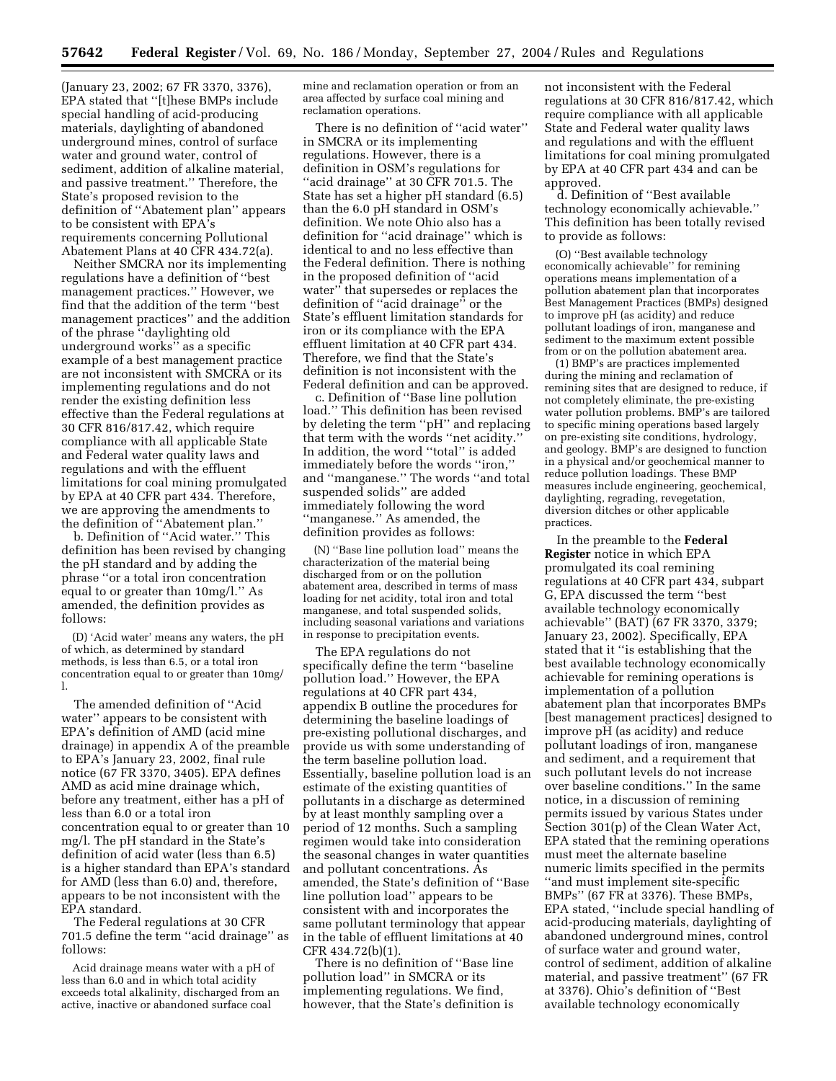(January 23, 2002; 67 FR 3370, 3376), EPA stated that ''[t]hese BMPs include special handling of acid-producing materials, daylighting of abandoned underground mines, control of surface water and ground water, control of sediment, addition of alkaline material, and passive treatment.'' Therefore, the State's proposed revision to the definition of ''Abatement plan'' appears to be consistent with EPA's requirements concerning Pollutional Abatement Plans at 40 CFR 434.72(a).

Neither SMCRA nor its implementing regulations have a definition of ''best management practices.'' However, we find that the addition of the term ''best management practices'' and the addition of the phrase ''daylighting old underground works'' as a specific example of a best management practice are not inconsistent with SMCRA or its implementing regulations and do not render the existing definition less effective than the Federal regulations at 30 CFR 816/817.42, which require compliance with all applicable State and Federal water quality laws and regulations and with the effluent limitations for coal mining promulgated by EPA at 40 CFR part 434. Therefore, we are approving the amendments to the definition of ''Abatement plan.''

b. Definition of ''Acid water.'' This definition has been revised by changing the pH standard and by adding the phrase ''or a total iron concentration equal to or greater than 10mg/l.'' As amended, the definition provides as follows:

(D) 'Acid water' means any waters, the pH of which, as determined by standard methods, is less than 6.5, or a total iron concentration equal to or greater than 10mg/ l.

The amended definition of ''Acid water'' appears to be consistent with EPA's definition of AMD (acid mine drainage) in appendix A of the preamble to EPA's January 23, 2002, final rule notice (67 FR 3370, 3405). EPA defines AMD as acid mine drainage which, before any treatment, either has a pH of less than 6.0 or a total iron concentration equal to or greater than 10 mg/l. The pH standard in the State's definition of acid water (less than 6.5) is a higher standard than EPA's standard for AMD (less than 6.0) and, therefore, appears to be not inconsistent with the EPA standard.

The Federal regulations at 30 CFR 701.5 define the term ''acid drainage'' as follows:

Acid drainage means water with a pH of less than 6.0 and in which total acidity exceeds total alkalinity, discharged from an active, inactive or abandoned surface coal

mine and reclamation operation or from an area affected by surface coal mining and reclamation operations.

There is no definition of ''acid water'' in SMCRA or its implementing regulations. However, there is a definition in OSM's regulations for ''acid drainage'' at 30 CFR 701.5. The State has set a higher pH standard (6.5) than the 6.0 pH standard in OSM's definition. We note Ohio also has a definition for ''acid drainage'' which is identical to and no less effective than the Federal definition. There is nothing in the proposed definition of ''acid water'' that supersedes or replaces the definition of ''acid drainage'' or the State's effluent limitation standards for iron or its compliance with the EPA effluent limitation at 40 CFR part 434. Therefore, we find that the State's definition is not inconsistent with the Federal definition and can be approved.

c. Definition of ''Base line pollution load.'' This definition has been revised by deleting the term ''pH'' and replacing that term with the words ''net acidity.'' In addition, the word ''total'' is added immediately before the words ''iron,'' and ''manganese.'' The words ''and total suspended solids'' are added immediately following the word ''manganese.'' As amended, the definition provides as follows:

(N) ''Base line pollution load'' means the characterization of the material being discharged from or on the pollution abatement area, described in terms of mass loading for net acidity, total iron and total manganese, and total suspended solids, including seasonal variations and variations in response to precipitation events.

The EPA regulations do not specifically define the term ''baseline pollution load.'' However, the EPA regulations at 40 CFR part 434, appendix B outline the procedures for determining the baseline loadings of pre-existing pollutional discharges, and provide us with some understanding of the term baseline pollution load. Essentially, baseline pollution load is an estimate of the existing quantities of pollutants in a discharge as determined by at least monthly sampling over a period of 12 months. Such a sampling regimen would take into consideration the seasonal changes in water quantities and pollutant concentrations. As amended, the State's definition of ''Base line pollution load'' appears to be consistent with and incorporates the same pollutant terminology that appear in the table of effluent limitations at 40 CFR 434.72(b)(1).

There is no definition of ''Base line pollution load'' in SMCRA or its implementing regulations. We find, however, that the State's definition is not inconsistent with the Federal regulations at 30 CFR 816/817.42, which require compliance with all applicable State and Federal water quality laws and regulations and with the effluent limitations for coal mining promulgated by EPA at 40 CFR part 434 and can be approved.

d. Definition of ''Best available technology economically achievable.'' This definition has been totally revised to provide as follows:

(O) ''Best available technology economically achievable'' for remining operations means implementation of a pollution abatement plan that incorporates Best Management Practices (BMPs) designed to improve pH (as acidity) and reduce pollutant loadings of iron, manganese and sediment to the maximum extent possible from or on the pollution abatement area.

(1) BMP's are practices implemented during the mining and reclamation of remining sites that are designed to reduce, if not completely eliminate, the pre-existing water pollution problems. BMP's are tailored to specific mining operations based largely on pre-existing site conditions, hydrology, and geology. BMP's are designed to function in a physical and/or geochemical manner to reduce pollution loadings. These BMP measures include engineering, geochemical, daylighting, regrading, revegetation, diversion ditches or other applicable practices.

In the preamble to the **Federal Register** notice in which EPA promulgated its coal remining regulations at 40 CFR part 434, subpart G, EPA discussed the term ''best available technology economically achievable'' (BAT) (67 FR 3370, 3379; January 23, 2002). Specifically, EPA stated that it ''is establishing that the best available technology economically achievable for remining operations is implementation of a pollution abatement plan that incorporates BMPs [best management practices] designed to improve pH (as acidity) and reduce pollutant loadings of iron, manganese and sediment, and a requirement that such pollutant levels do not increase over baseline conditions.'' In the same notice, in a discussion of remining permits issued by various States under Section 301(p) of the Clean Water Act, EPA stated that the remining operations must meet the alternate baseline numeric limits specified in the permits ''and must implement site-specific BMPs'' (67 FR at 3376). These BMPs, EPA stated, ''include special handling of acid-producing materials, daylighting of abandoned underground mines, control of surface water and ground water, control of sediment, addition of alkaline material, and passive treatment'' (67 FR at 3376). Ohio's definition of ''Best available technology economically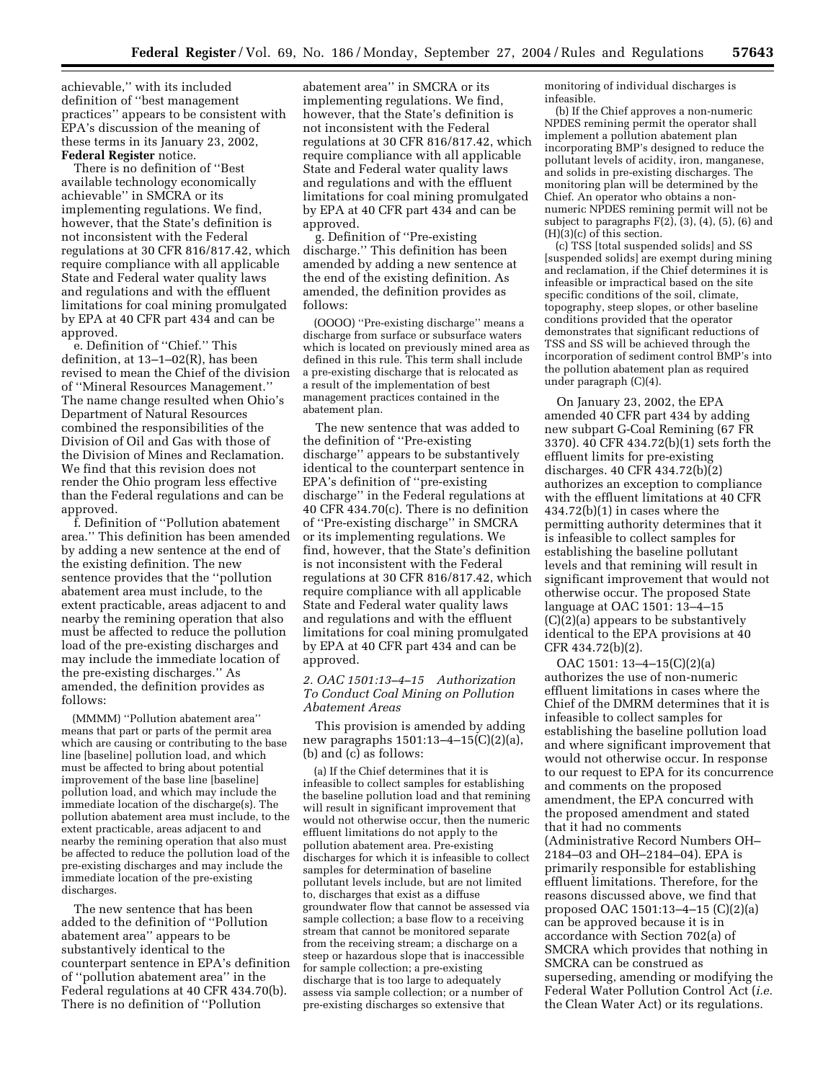achievable,'' with its included definition of ''best management practices'' appears to be consistent with EPA's discussion of the meaning of these terms in its January 23, 2002, **Federal Register** notice.

There is no definition of ''Best available technology economically achievable'' in SMCRA or its implementing regulations. We find, however, that the State's definition is not inconsistent with the Federal regulations at 30 CFR 816/817.42, which require compliance with all applicable State and Federal water quality laws and regulations and with the effluent limitations for coal mining promulgated by EPA at 40 CFR part 434 and can be approved.

e. Definition of ''Chief.'' This definition, at 13–1–02(R), has been revised to mean the Chief of the division of ''Mineral Resources Management.'' The name change resulted when Ohio's Department of Natural Resources combined the responsibilities of the Division of Oil and Gas with those of the Division of Mines and Reclamation. We find that this revision does not render the Ohio program less effective than the Federal regulations and can be approved.

f. Definition of ''Pollution abatement area.'' This definition has been amended by adding a new sentence at the end of the existing definition. The new sentence provides that the ''pollution abatement area must include, to the extent practicable, areas adjacent to and nearby the remining operation that also must be affected to reduce the pollution load of the pre-existing discharges and may include the immediate location of the pre-existing discharges.'' As amended, the definition provides as follows:

(MMMM) ''Pollution abatement area'' means that part or parts of the permit area which are causing or contributing to the base line [baseline] pollution load, and which must be affected to bring about potential improvement of the base line [baseline] pollution load, and which may include the immediate location of the discharge(s). The pollution abatement area must include, to the extent practicable, areas adjacent to and nearby the remining operation that also must be affected to reduce the pollution load of the pre-existing discharges and may include the immediate location of the pre-existing discharges.

The new sentence that has been added to the definition of ''Pollution abatement area'' appears to be substantively identical to the counterpart sentence in EPA's definition of ''pollution abatement area'' in the Federal regulations at 40 CFR 434.70(b). There is no definition of ''Pollution

abatement area'' in SMCRA or its implementing regulations. We find, however, that the State's definition is not inconsistent with the Federal regulations at 30 CFR 816/817.42, which require compliance with all applicable State and Federal water quality laws and regulations and with the effluent limitations for coal mining promulgated by EPA at 40 CFR part 434 and can be approved.

g. Definition of ''Pre-existing discharge.'' This definition has been amended by adding a new sentence at the end of the existing definition. As amended, the definition provides as follows:

(OOOO) ''Pre-existing discharge'' means a discharge from surface or subsurface waters which is located on previously mined area as defined in this rule. This term shall include a pre-existing discharge that is relocated as a result of the implementation of best management practices contained in the abatement plan.

The new sentence that was added to the definition of ''Pre-existing discharge'' appears to be substantively identical to the counterpart sentence in EPA's definition of ''pre-existing discharge'' in the Federal regulations at 40 CFR 434.70(c). There is no definition of ''Pre-existing discharge'' in SMCRA or its implementing regulations. We find, however, that the State's definition is not inconsistent with the Federal regulations at 30 CFR 816/817.42, which require compliance with all applicable State and Federal water quality laws and regulations and with the effluent limitations for coal mining promulgated by EPA at 40 CFR part 434 and can be approved.

## *2. OAC 1501:13–4–15 Authorization To Conduct Coal Mining on Pollution Abatement Areas*

This provision is amended by adding new paragraphs 1501:13–4–15(C)(2)(a), (b) and (c) as follows:

(a) If the Chief determines that it is infeasible to collect samples for establishing the baseline pollution load and that remining will result in significant improvement that would not otherwise occur, then the numeric effluent limitations do not apply to the pollution abatement area. Pre-existing discharges for which it is infeasible to collect samples for determination of baseline pollutant levels include, but are not limited to, discharges that exist as a diffuse groundwater flow that cannot be assessed via sample collection; a base flow to a receiving stream that cannot be monitored separate from the receiving stream; a discharge on a steep or hazardous slope that is inaccessible for sample collection; a pre-existing discharge that is too large to adequately assess via sample collection; or a number of pre-existing discharges so extensive that

monitoring of individual discharges is infeasible.

(b) If the Chief approves a non-numeric NPDES remining permit the operator shall implement a pollution abatement plan incorporating BMP's designed to reduce the pollutant levels of acidity, iron, manganese, and solids in pre-existing discharges. The monitoring plan will be determined by the Chief. An operator who obtains a nonnumeric NPDES remining permit will not be subject to paragraphs  $F(2)$ ,  $(3)$ ,  $(4)$ ,  $(5)$ ,  $(6)$  and (H)(3)(c) of this section.

(c) TSS [total suspended solids] and SS [suspended solids] are exempt during mining and reclamation, if the Chief determines it is infeasible or impractical based on the site specific conditions of the soil, climate, topography, steep slopes, or other baseline conditions provided that the operator demonstrates that significant reductions of TSS and SS will be achieved through the incorporation of sediment control BMP's into the pollution abatement plan as required under paragraph (C)(4).

On January 23, 2002, the EPA amended 40 CFR part 434 by adding new subpart G-Coal Remining (67 FR 3370). 40 CFR 434.72(b)(1) sets forth the effluent limits for pre-existing discharges. 40 CFR 434.72(b)(2) authorizes an exception to compliance with the effluent limitations at 40 CFR 434.72(b)(1) in cases where the permitting authority determines that it is infeasible to collect samples for establishing the baseline pollutant levels and that remining will result in significant improvement that would not otherwise occur. The proposed State language at OAC 1501: 13–4–15 (C)(2)(a) appears to be substantively identical to the EPA provisions at 40 CFR 434.72(b)(2).

OAC 1501: 13–4–15(C)(2)(a) authorizes the use of non-numeric effluent limitations in cases where the Chief of the DMRM determines that it is infeasible to collect samples for establishing the baseline pollution load and where significant improvement that would not otherwise occur. In response to our request to EPA for its concurrence and comments on the proposed amendment, the EPA concurred with the proposed amendment and stated that it had no comments (Administrative Record Numbers OH– 2184–03 and OH–2184–04). EPA is primarily responsible for establishing effluent limitations. Therefore, for the reasons discussed above, we find that proposed OAC 1501:13–4–15 (C)(2)(a) can be approved because it is in accordance with Section 702(a) of SMCRA which provides that nothing in SMCRA can be construed as superseding, amending or modifying the Federal Water Pollution Control Act (*i.e.* the Clean Water Act) or its regulations.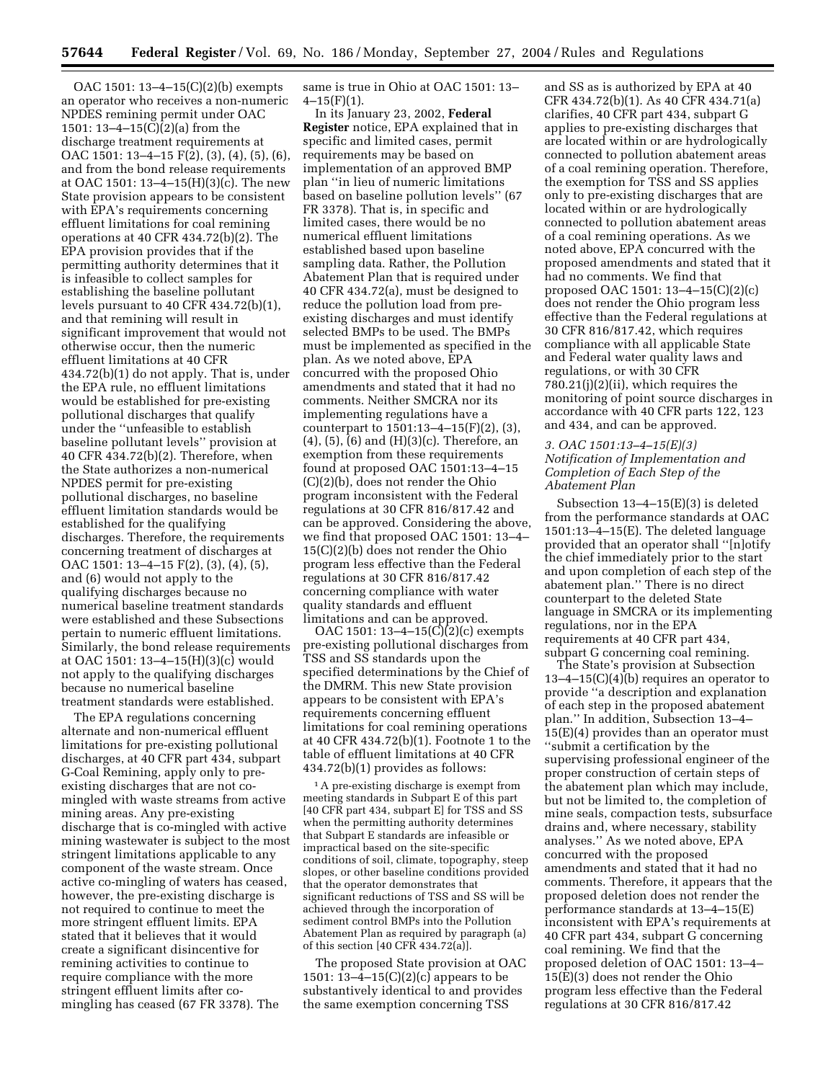OAC 1501: 13–4–15(C)(2)(b) exempts an operator who receives a non-numeric NPDES remining permit under OAC 1501: 13–4–15(C)(2)(a) from the discharge treatment requirements at OAC 1501: 13–4–15 F(2), (3), (4), (5), (6), and from the bond release requirements at OAC 1501: 13–4–15(H)(3)(c). The new State provision appears to be consistent with EPA's requirements concerning effluent limitations for coal remining operations at 40 CFR 434.72(b)(2). The EPA provision provides that if the permitting authority determines that it is infeasible to collect samples for establishing the baseline pollutant levels pursuant to 40 CFR 434.72(b)(1), and that remining will result in significant improvement that would not otherwise occur, then the numeric effluent limitations at 40 CFR 434.72(b)(1) do not apply. That is, under the EPA rule, no effluent limitations would be established for pre-existing pollutional discharges that qualify under the ''unfeasible to establish baseline pollutant levels'' provision at 40 CFR 434.72(b)(2). Therefore, when the State authorizes a non-numerical NPDES permit for pre-existing pollutional discharges, no baseline effluent limitation standards would be established for the qualifying discharges. Therefore, the requirements concerning treatment of discharges at OAC 1501: 13–4–15 F(2), (3), (4), (5), and (6) would not apply to the qualifying discharges because no numerical baseline treatment standards were established and these Subsections pertain to numeric effluent limitations. Similarly, the bond release requirements at OAC 1501: 13–4–15(H)(3)(c) would not apply to the qualifying discharges because no numerical baseline treatment standards were established.

The EPA regulations concerning alternate and non-numerical effluent limitations for pre-existing pollutional discharges, at 40 CFR part 434, subpart G-Coal Remining, apply only to preexisting discharges that are not comingled with waste streams from active mining areas. Any pre-existing discharge that is co-mingled with active mining wastewater is subject to the most stringent limitations applicable to any component of the waste stream. Once active co-mingling of waters has ceased, however, the pre-existing discharge is not required to continue to meet the more stringent effluent limits. EPA stated that it believes that it would create a significant disincentive for remining activities to continue to require compliance with the more stringent effluent limits after comingling has ceased (67 FR 3378). The

same is true in Ohio at OAC 1501: 13–  $4-15(F)(1)$ .

In its January 23, 2002, **Federal Register** notice, EPA explained that in specific and limited cases, permit requirements may be based on implementation of an approved BMP plan ''in lieu of numeric limitations based on baseline pollution levels'' (67 FR 3378). That is, in specific and limited cases, there would be no numerical effluent limitations established based upon baseline sampling data. Rather, the Pollution Abatement Plan that is required under 40 CFR 434.72(a), must be designed to reduce the pollution load from preexisting discharges and must identify selected BMPs to be used. The BMPs must be implemented as specified in the plan. As we noted above, EPA concurred with the proposed Ohio amendments and stated that it had no comments. Neither SMCRA nor its implementing regulations have a counterpart to 1501:13–4–15(F)(2), (3), (4), (5), (6) and (H)(3)(c). Therefore, an exemption from these requirements found at proposed OAC 1501:13–4–15 (C)(2)(b), does not render the Ohio program inconsistent with the Federal regulations at 30 CFR 816/817.42 and can be approved. Considering the above, we find that proposed OAC 1501: 13–4– 15(C)(2)(b) does not render the Ohio program less effective than the Federal regulations at 30 CFR 816/817.42 concerning compliance with water quality standards and effluent limitations and can be approved.

OAC 1501: 13–4–15(C)(2)(c) exempts pre-existing pollutional discharges from TSS and SS standards upon the specified determinations by the Chief of the DMRM. This new State provision appears to be consistent with EPA's requirements concerning effluent limitations for coal remining operations at 40 CFR 434.72(b)(1). Footnote 1 to the table of effluent limitations at 40 CFR 434.72(b)(1) provides as follows:

<sup>1</sup>A pre-existing discharge is exempt from meeting standards in Subpart E of this part [40 CFR part 434, subpart E] for TSS and SS when the permitting authority determines that Subpart E standards are infeasible or impractical based on the site-specific conditions of soil, climate, topography, steep slopes, or other baseline conditions provided that the operator demonstrates that significant reductions of TSS and SS will be achieved through the incorporation of sediment control BMPs into the Pollution Abatement Plan as required by paragraph (a) of this section [40 CFR 434.72(a)].

The proposed State provision at OAC 1501: 13–4–15(C)(2)(c) appears to be substantively identical to and provides the same exemption concerning TSS

and SS as is authorized by EPA at 40 CFR 434.72(b)(1). As 40 CFR 434.71(a) clarifies, 40 CFR part 434, subpart G applies to pre-existing discharges that are located within or are hydrologically connected to pollution abatement areas of a coal remining operation. Therefore, the exemption for TSS and SS applies only to pre-existing discharges that are located within or are hydrologically connected to pollution abatement areas of a coal remining operations. As we noted above, EPA concurred with the proposed amendments and stated that it had no comments. We find that proposed OAC 1501: 13–4–15(C)(2)(c) does not render the Ohio program less effective than the Federal regulations at 30 CFR 816/817.42, which requires compliance with all applicable State and Federal water quality laws and regulations, or with 30 CFR 780.21(j)(2)(ii), which requires the monitoring of point source discharges in accordance with 40 CFR parts 122, 123 and 434, and can be approved.

### *3. OAC 1501:13–4–15(E)(3) Notification of Implementation and Completion of Each Step of the Abatement Plan*

Subsection 13–4–15(E)(3) is deleted from the performance standards at OAC 1501:13–4–15(E). The deleted language provided that an operator shall ''[n]otify the chief immediately prior to the start and upon completion of each step of the abatement plan.'' There is no direct counterpart to the deleted State language in SMCRA or its implementing regulations, nor in the EPA requirements at 40 CFR part 434, subpart G concerning coal remining.

The State's provision at Subsection 13–4–15(C)(4)(b) requires an operator to provide ''a description and explanation of each step in the proposed abatement plan.'' In addition, Subsection 13–4– 15(E)(4) provides than an operator must ''submit a certification by the supervising professional engineer of the proper construction of certain steps of the abatement plan which may include, but not be limited to, the completion of mine seals, compaction tests, subsurface drains and, where necessary, stability analyses.'' As we noted above, EPA concurred with the proposed amendments and stated that it had no comments. Therefore, it appears that the proposed deletion does not render the performance standards at 13–4–15(E) inconsistent with EPA's requirements at 40 CFR part 434, subpart G concerning coal remining. We find that the proposed deletion of OAC 1501: 13–4– 15(E)(3) does not render the Ohio program less effective than the Federal regulations at 30 CFR 816/817.42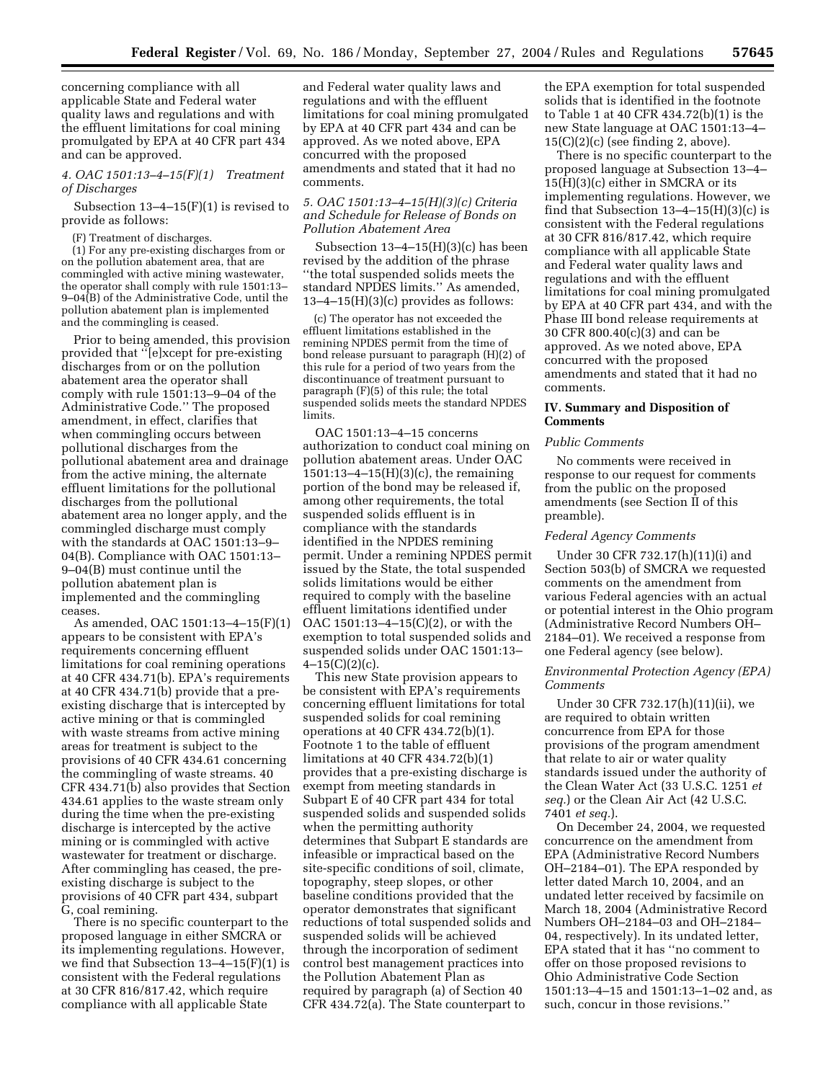concerning compliance with all applicable State and Federal water quality laws and regulations and with the effluent limitations for coal mining promulgated by EPA at 40 CFR part 434 and can be approved.

## *4. OAC 1501:13–4–15(F)(1) Treatment of Discharges*

Subsection 13–4–15(F)(1) is revised to provide as follows:

(F) Treatment of discharges.

(1) For any pre-existing discharges from or on the pollution abatement area, that are commingled with active mining wastewater, the operator shall comply with rule 1501:13– 9–04(B) of the Administrative Code, until the pollution abatement plan is implemented and the commingling is ceased.

Prior to being amended, this provision provided that ''[e]xcept for pre-existing discharges from or on the pollution abatement area the operator shall comply with rule 1501:13–9–04 of the Administrative Code.'' The proposed amendment, in effect, clarifies that when commingling occurs between pollutional discharges from the pollutional abatement area and drainage from the active mining, the alternate effluent limitations for the pollutional discharges from the pollutional abatement area no longer apply, and the commingled discharge must comply with the standards at OAC 1501:13–9– 04(B). Compliance with OAC 1501:13– 9–04(B) must continue until the pollution abatement plan is implemented and the commingling ceases.

As amended, OAC 1501:13–4–15(F)(1) appears to be consistent with EPA's requirements concerning effluent limitations for coal remining operations at 40 CFR 434.71(b). EPA's requirements at 40 CFR 434.71(b) provide that a preexisting discharge that is intercepted by active mining or that is commingled with waste streams from active mining areas for treatment is subject to the provisions of 40 CFR 434.61 concerning the commingling of waste streams. 40 CFR 434.71(b) also provides that Section 434.61 applies to the waste stream only during the time when the pre-existing discharge is intercepted by the active mining or is commingled with active wastewater for treatment or discharge. After commingling has ceased, the preexisting discharge is subject to the provisions of 40 CFR part 434, subpart G, coal remining.

There is no specific counterpart to the proposed language in either SMCRA or its implementing regulations. However, we find that Subsection  $13-4-15(F)(1)$  is consistent with the Federal regulations at 30 CFR 816/817.42, which require compliance with all applicable State

and Federal water quality laws and regulations and with the effluent limitations for coal mining promulgated by EPA at 40 CFR part 434 and can be approved. As we noted above, EPA concurred with the proposed amendments and stated that it had no comments.

# *5. OAC 1501:13–4–15(H)(3)(c) Criteria and Schedule for Release of Bonds on Pollution Abatement Area*

Subsection  $13-4-15(H)(3)(c)$  has been revised by the addition of the phrase ''the total suspended solids meets the standard NPDES limits.'' As amended,  $13-4-15(H)(3)(c)$  provides as follows:

(c) The operator has not exceeded the effluent limitations established in the remining NPDES permit from the time of bond release pursuant to paragraph (H)(2) of this rule for a period of two years from the discontinuance of treatment pursuant to paragraph (F)(5) of this rule; the total suspended solids meets the standard NPDES limits.

OAC 1501:13–4–15 concerns authorization to conduct coal mining on pollution abatement areas. Under OAC 1501:13–4–15(H)(3)(c), the remaining portion of the bond may be released if, among other requirements, the total suspended solids effluent is in compliance with the standards identified in the NPDES remining permit. Under a remining NPDES permit issued by the State, the total suspended solids limitations would be either required to comply with the baseline effluent limitations identified under OAC 1501:13–4–15(C)(2), or with the exemption to total suspended solids and suspended solids under OAC 1501:13–  $4-15(C)(2)(c)$ .

This new State provision appears to be consistent with EPA's requirements concerning effluent limitations for total suspended solids for coal remining operations at 40 CFR 434.72(b)(1). Footnote 1 to the table of effluent limitations at 40 CFR 434.72(b)(1) provides that a pre-existing discharge is exempt from meeting standards in Subpart E of 40 CFR part 434 for total suspended solids and suspended solids when the permitting authority determines that Subpart E standards are infeasible or impractical based on the site-specific conditions of soil, climate, topography, steep slopes, or other baseline conditions provided that the operator demonstrates that significant reductions of total suspended solids and suspended solids will be achieved through the incorporation of sediment control best management practices into the Pollution Abatement Plan as required by paragraph (a) of Section 40 CFR 434.72(a). The State counterpart to

the EPA exemption for total suspended solids that is identified in the footnote to Table 1 at 40 CFR 434.72(b)(1) is the new State language at OAC 1501:13–4–  $15(C)(2)(c)$  (see finding 2, above).

There is no specific counterpart to the proposed language at Subsection 13–4– 15(H)(3)(c) either in SMCRA or its implementing regulations. However, we find that Subsection  $13-4-15(H)(3)(c)$  is consistent with the Federal regulations at 30 CFR 816/817.42, which require compliance with all applicable State and Federal water quality laws and regulations and with the effluent limitations for coal mining promulgated by EPA at 40 CFR part 434, and with the Phase III bond release requirements at 30 CFR 800.40(c)(3) and can be approved. As we noted above, EPA concurred with the proposed amendments and stated that it had no comments.

### **IV. Summary and Disposition of Comments**

#### *Public Comments*

No comments were received in response to our request for comments from the public on the proposed amendments (see Section II of this preamble).

#### *Federal Agency Comments*

Under 30 CFR 732.17(h)(11)(i) and Section 503(b) of SMCRA we requested comments on the amendment from various Federal agencies with an actual or potential interest in the Ohio program (Administrative Record Numbers OH– 2184–01). We received a response from one Federal agency (see below).

#### *Environmental Protection Agency (EPA) Comments*

Under 30 CFR 732.17(h)(11)(ii), we are required to obtain written concurrence from EPA for those provisions of the program amendment that relate to air or water quality standards issued under the authority of the Clean Water Act (33 U.S.C. 1251 *et seq.*) or the Clean Air Act (42 U.S.C. 7401 *et seq.*).

On December 24, 2004, we requested concurrence on the amendment from EPA (Administrative Record Numbers OH–2184–01). The EPA responded by letter dated March 10, 2004, and an undated letter received by facsimile on March 18, 2004 (Administrative Record Numbers OH–2184–03 and OH–2184– 04, respectively). In its undated letter, EPA stated that it has ''no comment to offer on those proposed revisions to Ohio Administrative Code Section 1501:13–4–15 and 1501:13–1–02 and, as such, concur in those revisions.''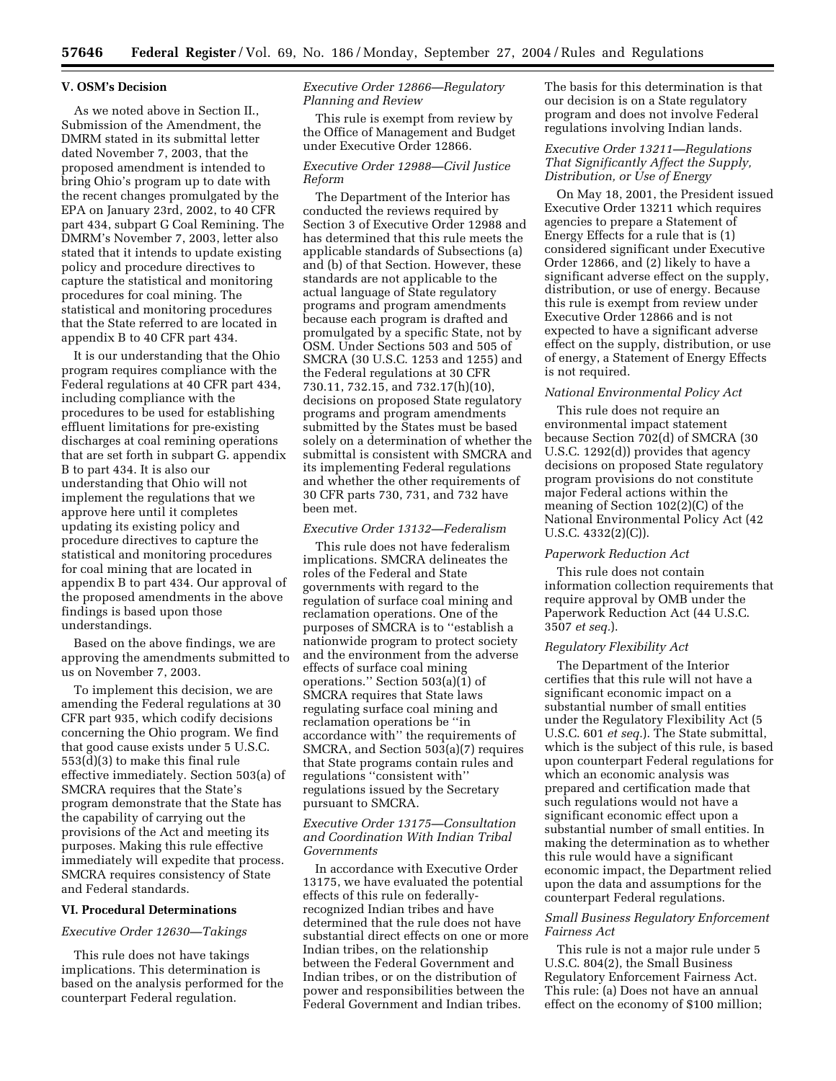### **V. OSM's Decision**

As we noted above in Section II., Submission of the Amendment, the DMRM stated in its submittal letter dated November 7, 2003, that the proposed amendment is intended to bring Ohio's program up to date with the recent changes promulgated by the EPA on January 23rd, 2002, to 40 CFR part 434, subpart G Coal Remining. The DMRM's November 7, 2003, letter also stated that it intends to update existing policy and procedure directives to capture the statistical and monitoring procedures for coal mining. The statistical and monitoring procedures that the State referred to are located in appendix B to 40 CFR part 434.

It is our understanding that the Ohio program requires compliance with the Federal regulations at 40 CFR part 434, including compliance with the procedures to be used for establishing effluent limitations for pre-existing discharges at coal remining operations that are set forth in subpart G. appendix B to part 434. It is also our understanding that Ohio will not implement the regulations that we approve here until it completes updating its existing policy and procedure directives to capture the statistical and monitoring procedures for coal mining that are located in appendix B to part 434. Our approval of the proposed amendments in the above findings is based upon those understandings.

Based on the above findings, we are approving the amendments submitted to us on November 7, 2003.

To implement this decision, we are amending the Federal regulations at 30 CFR part 935, which codify decisions concerning the Ohio program. We find that good cause exists under 5 U.S.C. 553(d)(3) to make this final rule effective immediately. Section 503(a) of SMCRA requires that the State's program demonstrate that the State has the capability of carrying out the provisions of the Act and meeting its purposes. Making this rule effective immediately will expedite that process. SMCRA requires consistency of State and Federal standards.

#### **VI. Procedural Determinations**

### *Executive Order 12630—Takings*

This rule does not have takings implications. This determination is based on the analysis performed for the counterpart Federal regulation.

# *Executive Order 12866—Regulatory Planning and Review*

This rule is exempt from review by the Office of Management and Budget under Executive Order 12866.

### *Executive Order 12988—Civil Justice Reform*

The Department of the Interior has conducted the reviews required by Section 3 of Executive Order 12988 and has determined that this rule meets the applicable standards of Subsections (a) and (b) of that Section. However, these standards are not applicable to the actual language of State regulatory programs and program amendments because each program is drafted and promulgated by a specific State, not by OSM. Under Sections 503 and 505 of SMCRA (30 U.S.C. 1253 and 1255) and the Federal regulations at 30 CFR 730.11, 732.15, and 732.17(h)(10), decisions on proposed State regulatory programs and program amendments submitted by the States must be based solely on a determination of whether the submittal is consistent with SMCRA and its implementing Federal regulations and whether the other requirements of 30 CFR parts 730, 731, and 732 have been met.

#### *Executive Order 13132—Federalism*

This rule does not have federalism implications. SMCRA delineates the roles of the Federal and State governments with regard to the regulation of surface coal mining and reclamation operations. One of the purposes of SMCRA is to ''establish a nationwide program to protect society and the environment from the adverse effects of surface coal mining operations.'' Section 503(a)(1) of SMCRA requires that State laws regulating surface coal mining and reclamation operations be ''in accordance with'' the requirements of SMCRA, and Section 503(a)(7) requires that State programs contain rules and regulations ''consistent with'' regulations issued by the Secretary pursuant to SMCRA.

### *Executive Order 13175—Consultation and Coordination With Indian Tribal Governments*

In accordance with Executive Order 13175, we have evaluated the potential effects of this rule on federallyrecognized Indian tribes and have determined that the rule does not have substantial direct effects on one or more Indian tribes, on the relationship between the Federal Government and Indian tribes, or on the distribution of power and responsibilities between the Federal Government and Indian tribes.

The basis for this determination is that our decision is on a State regulatory program and does not involve Federal regulations involving Indian lands.

## *Executive Order 13211—Regulations That Significantly Affect the Supply, Distribution, or Use of Energy*

On May 18, 2001, the President issued Executive Order 13211 which requires agencies to prepare a Statement of Energy Effects for a rule that is (1) considered significant under Executive Order 12866, and (2) likely to have a significant adverse effect on the supply, distribution, or use of energy. Because this rule is exempt from review under Executive Order 12866 and is not expected to have a significant adverse effect on the supply, distribution, or use of energy, a Statement of Energy Effects is not required.

### *National Environmental Policy Act*

This rule does not require an environmental impact statement because Section 702(d) of SMCRA (30 U.S.C. 1292(d)) provides that agency decisions on proposed State regulatory program provisions do not constitute major Federal actions within the meaning of Section 102(2)(C) of the National Environmental Policy Act (42 U.S.C. 4332(2)(C)).

### *Paperwork Reduction Act*

This rule does not contain information collection requirements that require approval by OMB under the Paperwork Reduction Act (44 U.S.C. 3507 *et seq.*).

#### *Regulatory Flexibility Act*

The Department of the Interior certifies that this rule will not have a significant economic impact on a substantial number of small entities under the Regulatory Flexibility Act (5 U.S.C. 601 *et seq.*). The State submittal, which is the subject of this rule, is based upon counterpart Federal regulations for which an economic analysis was prepared and certification made that such regulations would not have a significant economic effect upon a substantial number of small entities. In making the determination as to whether this rule would have a significant economic impact, the Department relied upon the data and assumptions for the counterpart Federal regulations.

### *Small Business Regulatory Enforcement Fairness Act*

This rule is not a major rule under 5 U.S.C. 804(2), the Small Business Regulatory Enforcement Fairness Act. This rule: (a) Does not have an annual effect on the economy of \$100 million;